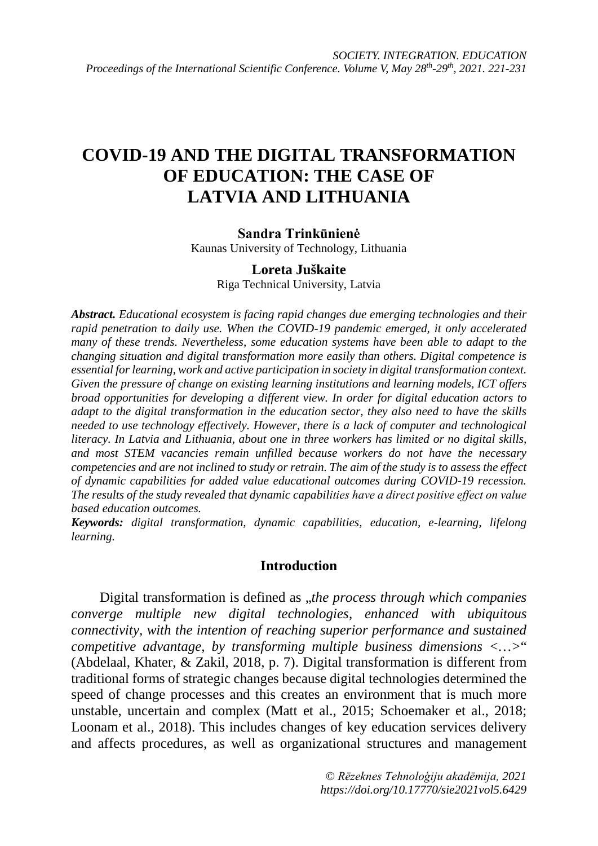# **COVID-19 AND THE DIGITAL TRANSFORMATION OF EDUCATION: THE CASE OF LATVIA AND LITHUANIA**

## **Sandra Trinkūnienė**

Kaunas University of Technology, Lithuania

## **Loreta Juškaite**

Riga Technical University, Latvia

*Abstract. Educational ecosystem is facing rapid changes due emerging technologies and their rapid penetration to daily use. When the COVID-19 pandemic emerged, it only accelerated many of these trends. Nevertheless, some education systems have been able to adapt to the changing situation and digital transformation more easily than others. Digital competence is essential for learning, work and active participation in society in digital transformation context. Given the pressure of change on existing learning institutions and learning models, ICT offers broad opportunities for developing a different view. In order for digital education actors to adapt to the digital transformation in the education sector, they also need to have the skills needed to use technology effectively. However, there is a lack of computer and technological literacy. In Latvia and Lithuania, about one in three workers has limited or no digital skills, and most STEM vacancies remain unfilled because workers do not have the necessary competencies and are not inclined to study or retrain. The aim of the study is to assess the effect of dynamic capabilities for added value educational outcomes during COVID-19 recession. The results of the study revealed that dynamic capabilities have a direct positive effect on value based education outcomes.* 

*Keywords: digital transformation, dynamic capabilities, education, e-learning, lifelong learning.*

## **Introduction**

Digital transformation is defined as *"the process through which companies converge multiple new digital technologies, enhanced with ubiquitous connectivity, with the intention of reaching superior performance and sustained competitive advantage, by transforming multiple business dimensions <…>*" (Abdelaal, Khater, & Zakil, 2018, p. 7). Digital transformation is different from traditional forms of strategic changes because digital technologies determined the speed of change processes and this creates an environment that is much more unstable, uncertain and complex (Matt et al., 2015; Schoemaker et al., 2018; Loonam et al., 2018). This includes changes of key education services delivery and affects procedures, as well as organizational structures and management

> *© Rēzeknes Tehnoloģiju akadēmija, 2021 https://doi.org/10.17770/sie2021vol5.6429*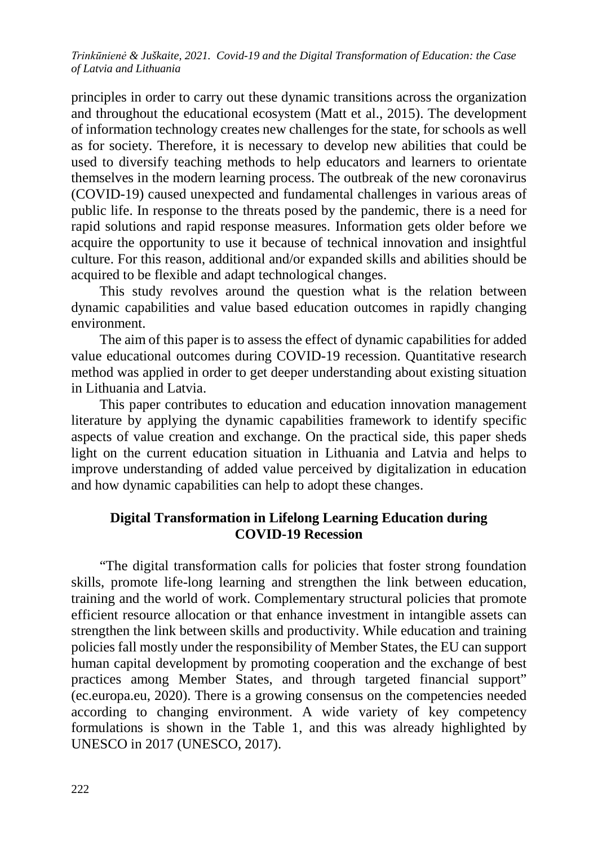principles in order to carry out these dynamic transitions across the organization and throughout the educational ecosystem (Matt et al., 2015). The development of information technology creates new challenges for the state, for schools as well as for society. Therefore, it is necessary to develop new abilities that could be used to diversify teaching methods to help educators and learners to orientate themselves in the modern learning process. The outbreak of the new coronavirus (COVID-19) caused unexpected and fundamental challenges in various areas of public life. In response to the threats posed by the pandemic, there is a need for rapid solutions and rapid response measures. Information gets older before we acquire the opportunity to use it because of technical innovation and insightful culture. For this reason, additional and/or expanded skills and abilities should be acquired to be flexible and adapt technological changes.

This study revolves around the question what is the relation between dynamic capabilities and value based education outcomes in rapidly changing environment.

The aim of this paper is to assess the effect of dynamic capabilities for added value educational outcomes during COVID-19 recession. Quantitative research method was applied in order to get deeper understanding about existing situation in Lithuania and Latvia.

This paper contributes to education and education innovation management literature by applying the dynamic capabilities framework to identify specific aspects of value creation and exchange. On the practical side, this paper sheds light on the current education situation in Lithuania and Latvia and helps to improve understanding of added value perceived by digitalization in education and how dynamic capabilities can help to adopt these changes.

## **Digital Transformation in Lifelong Learning Education during COVID-19 Recession**

"The digital transformation calls for policies that foster strong foundation skills, promote life-long learning and strengthen the link between education, training and the world of work. Complementary structural policies that promote efficient resource allocation or that enhance investment in intangible assets can strengthen the link between skills and productivity. While education and training policies fall mostly under the responsibility of Member States, the EU can support human capital development by promoting cooperation and the exchange of best practices among Member States, and through targeted financial support" (ec.europa.eu, 2020). There is a growing consensus on the competencies needed according to changing environment. A wide variety of key competency formulations is shown in the Table 1, and this was already highlighted by UNESCO in 2017 (UNESCO, 2017).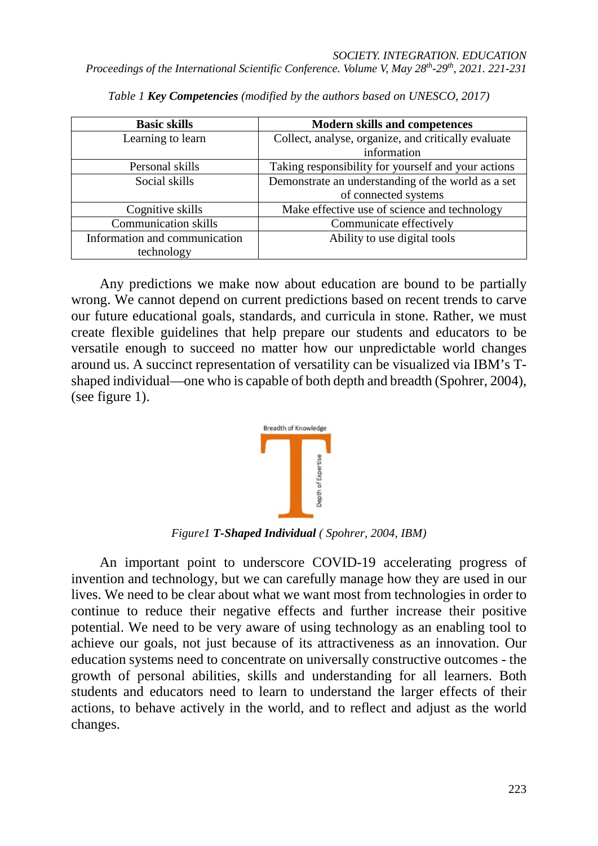| <b>Basic skills</b>           | <b>Modern skills and competences</b>                |  |  |  |
|-------------------------------|-----------------------------------------------------|--|--|--|
| Learning to learn             | Collect, analyse, organize, and critically evaluate |  |  |  |
|                               | information                                         |  |  |  |
| Personal skills               | Taking responsibility for yourself and your actions |  |  |  |
| Social skills                 | Demonstrate an understanding of the world as a set  |  |  |  |
|                               | of connected systems                                |  |  |  |
| Cognitive skills              | Make effective use of science and technology        |  |  |  |
| <b>Communication skills</b>   | Communicate effectively                             |  |  |  |
| Information and communication | Ability to use digital tools                        |  |  |  |
| technology                    |                                                     |  |  |  |

*Table 1 Key Competencies (modified by the authors based on UNESCO, 2017)*

Any predictions we make now about education are bound to be partially wrong. We cannot depend on current predictions based on recent trends to carve our future educational goals, standards, and curricula in stone. Rather, we must create flexible guidelines that help prepare our students and educators to be versatile enough to succeed no matter how our unpredictable world changes around us. A succinct representation of versatility can be visualized via IBM's Tshaped individual—one who is capable of both depth and breadth (Spohrer, 2004), (see figure 1).



*Figure1 T-Shaped Individual ( Spohrer, 2004, IBM)*

An important point to underscore COVID-19 accelerating progress of invention and technology, but we can carefully manage how they are used in our lives. We need to be clear about what we want most from technologies in order to continue to reduce their negative effects and further increase their positive potential. We need to be very aware of using technology as an enabling tool to achieve our goals, not just because of its attractiveness as an innovation. Our education systems need to concentrate on universally constructive outcomes - the growth of personal abilities, skills and understanding for all learners. Both students and educators need to learn to understand the larger effects of their actions, to behave actively in the world, and to reflect and adjust as the world changes.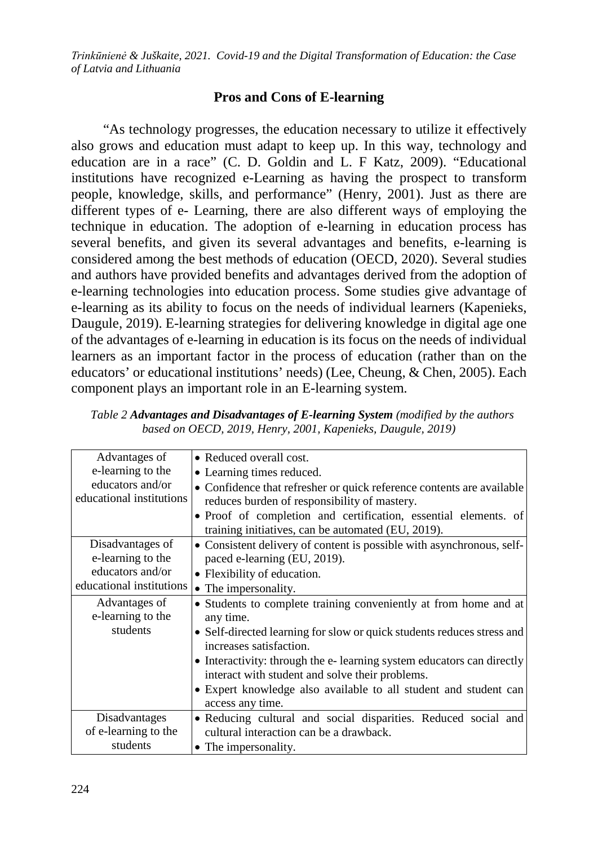## **Pros and Cons of E-learning**

"As technology progresses, the education necessary to utilize it effectively also grows and education must adapt to keep up. In this way, technology and education are in a race" (C. D. Goldin and L. F Katz, 2009). "Educational institutions have recognized e-Learning as having the prospect to transform people, knowledge, skills, and performance" (Henry, 2001). Just as there are different types of e- Learning, there are also different ways of employing the technique in education. The adoption of e-learning in education process has several benefits, and given its several advantages and benefits, e-learning is considered among the best methods of education (OECD, 2020). Several studies and authors have provided benefits and advantages derived from the adoption of e-learning technologies into education process. Some studies give advantage of e-learning as its ability to focus on the needs of individual learners (Kapenieks, Daugule, 2019). E-learning strategies for delivering knowledge in digital age one of the advantages of e-learning in education is its focus on the needs of individual learners as an important factor in the process of education (rather than on the educators' or educational institutions' needs) (Lee, Cheung, & Chen, 2005). Each component plays an important role in an E-learning system.

| Advantages of            | • Reduced overall cost.                                                                                                  |  |  |  |  |  |
|--------------------------|--------------------------------------------------------------------------------------------------------------------------|--|--|--|--|--|
| e-learning to the        | • Learning times reduced.                                                                                                |  |  |  |  |  |
| educators and/or         | • Confidence that refresher or quick reference contents are available                                                    |  |  |  |  |  |
| educational institutions | reduces burden of responsibility of mastery.                                                                             |  |  |  |  |  |
|                          | • Proof of completion and certification, essential elements. of                                                          |  |  |  |  |  |
|                          | training initiatives, can be automated (EU, 2019).                                                                       |  |  |  |  |  |
| Disadvantages of         | • Consistent delivery of content is possible with asynchronous, self-                                                    |  |  |  |  |  |
| e-learning to the        | paced e-learning (EU, 2019).                                                                                             |  |  |  |  |  |
| educators and/or         | • Flexibility of education.                                                                                              |  |  |  |  |  |
| educational institutions | • The impersonality.                                                                                                     |  |  |  |  |  |
| Advantages of            | • Students to complete training conveniently at from home and at                                                         |  |  |  |  |  |
| e-learning to the        | any time.                                                                                                                |  |  |  |  |  |
| students                 | • Self-directed learning for slow or quick students reduces stress and<br>increases satisfaction.                        |  |  |  |  |  |
|                          | • Interactivity: through the e-learning system educators can directly<br>interact with student and solve their problems. |  |  |  |  |  |
|                          | • Expert knowledge also available to all student and student can<br>access any time.                                     |  |  |  |  |  |
| Disadvantages            | • Reducing cultural and social disparities. Reduced social and                                                           |  |  |  |  |  |
| of e-learning to the     | cultural interaction can be a drawback.                                                                                  |  |  |  |  |  |
| students                 | • The impersonality.                                                                                                     |  |  |  |  |  |

*Table 2 Advantages and Disadvantages of E-learning System (modified by the authors based on OECD, 2019, Henry, 2001, Kapenieks, Daugule, 2019)*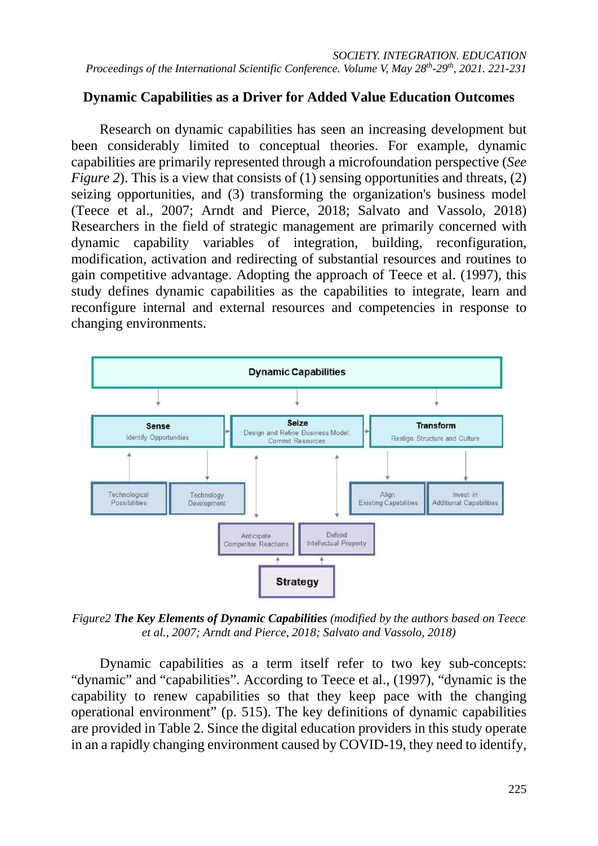# **Dynamic Capabilities as a Driver for Added Value Education Outcomes**

Research on dynamic capabilities has seen an increasing development but been considerably limited to conceptual theories. For example, dynamic capabilities are primarily represented through a microfoundation perspective (*See Figure 2*). This is a view that consists of (1) sensing opportunities and threats, (2) seizing opportunities, and (3) transforming the organization's business model (Teece et al., 2007; Arndt and Pierce, 2018; Salvato and Vassolo, 2018) Researchers in the field of strategic management are primarily concerned with dynamic capability variables of integration, building, reconfiguration, modification, activation and redirecting of substantial resources and routines to gain competitive advantage. Adopting the approach of Teece et al. (1997), this study defines dynamic capabilities as the capabilities to integrate, learn and reconfigure internal and external resources and competencies in response to changing environments.



*Figure2 The Key Elements of Dynamic Capabilities (modified by the authors based on Teece et al., 2007; Arndt and Pierce, 2018; Salvato and Vassolo, 2018)*

Dynamic capabilities as a term itself refer to two key sub-concepts: "dynamic" and "capabilities". According to Teece et al., (1997), "dynamic is the capability to renew capabilities so that they keep pace with the changing operational environment" (p. 515). The key definitions of dynamic capabilities are provided in Table 2. Since the digital education providers in this study operate in an a rapidly changing environment caused by COVID-19, they need to identify,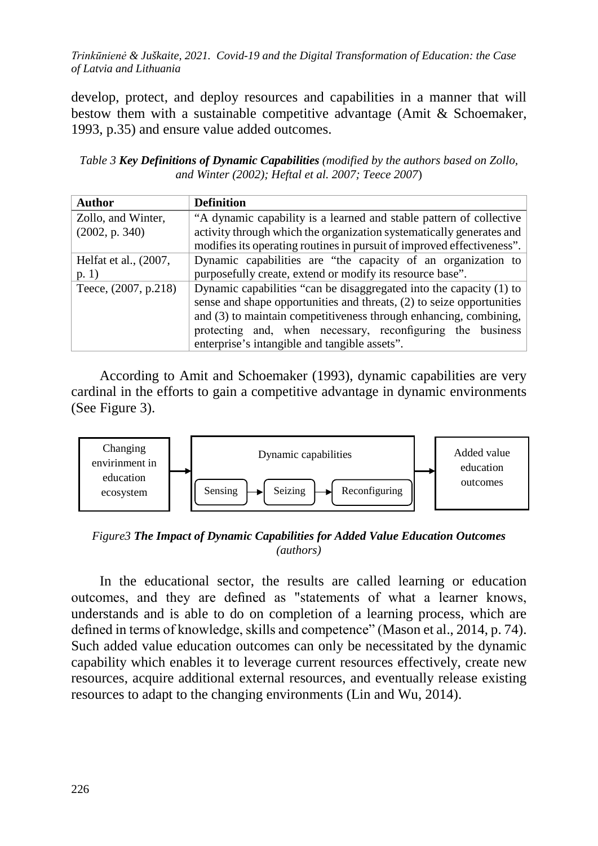develop, protect, and deploy resources and capabilities in a manner that will bestow them with a sustainable competitive advantage (Amit & Schoemaker, 1993, p.35) and ensure value added outcomes.

*Table 3 Key Definitions of Dynamic Capabilities (modified by the authors based on Zollo, and Winter (2002); Heftal et al. 2007; Teece 2007*)

| Author                | <b>Definition</b>                                                      |  |  |  |  |  |
|-----------------------|------------------------------------------------------------------------|--|--|--|--|--|
| Zollo, and Winter,    | "A dynamic capability is a learned and stable pattern of collective    |  |  |  |  |  |
| (2002, p. 340)        | activity through which the organization systematically generates and   |  |  |  |  |  |
|                       | modifies its operating routines in pursuit of improved effectiveness". |  |  |  |  |  |
| Helfat et al., (2007, | Dynamic capabilities are "the capacity of an organization to           |  |  |  |  |  |
| p. 1)                 | purposefully create, extend or modify its resource base".              |  |  |  |  |  |
| Teece, (2007, p.218)  | Dynamic capabilities "can be disaggregated into the capacity (1) to    |  |  |  |  |  |
|                       | sense and shape opportunities and threats, (2) to seize opportunities  |  |  |  |  |  |
|                       | and (3) to maintain competitiveness through enhancing, combining,      |  |  |  |  |  |
|                       | protecting and, when necessary, reconfiguring the business             |  |  |  |  |  |
|                       | enterprise's intangible and tangible assets".                          |  |  |  |  |  |

According to Amit and Schoemaker (1993), dynamic capabilities are very cardinal in the efforts to gain a competitive advantage in dynamic environments (See Figure 3).



*Figure3 The Impact of Dynamic Capabilities for Added Value Education Outcomes (authors)*

In the educational sector, the results are called learning or education outcomes, and they are defined as "statements of what a learner knows, understands and is able to do on completion of a learning process, which are defined in terms of knowledge, skills and competence" (Mason et al., 2014, p. 74). Such added value education outcomes can only be necessitated by the dynamic capability which enables it to leverage current resources effectively, create new resources, acquire additional external resources, and eventually release existing resources to adapt to the changing environments (Lin and Wu, 2014).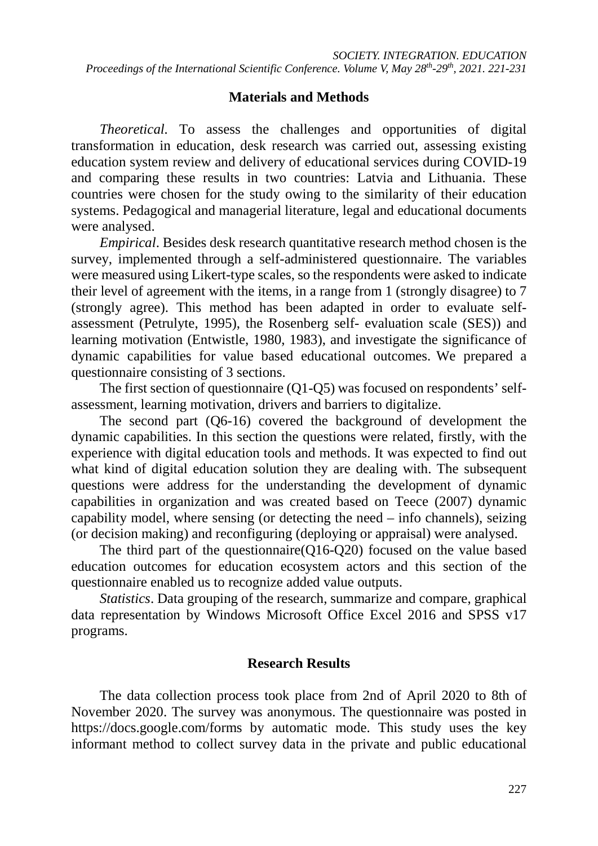## **Materials and Methods**

*Theoretical.* To assess the challenges and opportunities of digital transformation in education, desk research was carried out, assessing existing education system review and delivery of educational services during COVID-19 and comparing these results in two countries: Latvia and Lithuania. These countries were chosen for the study owing to the similarity of their education systems. Pedagogical and managerial literature, legal and educational documents were analysed.

*Empirical*. Besides desk research quantitative research method chosen is the survey, implemented through a self-administered questionnaire. The variables were measured using Likert-type scales, so the respondents were asked to indicate their level of agreement with the items, in a range from 1 (strongly disagree) to 7 (strongly agree). This method has been adapted in order to evaluate selfassessment (Petrulyte, 1995), the Rosenberg self- evaluation scale (SES)) and learning motivation (Entwistle, 1980, 1983), and investigate the significance of dynamic capabilities for value based educational outcomes. We prepared a questionnaire consisting of 3 sections.

The first section of questionnaire (Q1-Q5) was focused on respondents' selfassessment, learning motivation, drivers and barriers to digitalize.

The second part (Q6-16) covered the background of development the dynamic capabilities. In this section the questions were related, firstly, with the experience with digital education tools and methods. It was expected to find out what kind of digital education solution they are dealing with. The subsequent questions were address for the understanding the development of dynamic capabilities in organization and was created based on Teece (2007) dynamic capability model, where sensing (or detecting the need – info channels), seizing (or decision making) and reconfiguring (deploying or appraisal) were analysed.

The third part of the questionnaire(Q16-Q20) focused on the value based education outcomes for education ecosystem actors and this section of the questionnaire enabled us to recognize added value outputs.

*Statistics*. Data grouping of the research, summarize and compare, graphical data representation by Windows Microsoft Office Excel 2016 and SPSS v17 programs.

## **Research Results**

The data collection process took place from 2nd of April 2020 to 8th of November 2020. The survey was anonymous. The questionnaire was posted in https://docs.google.com/forms by automatic mode. This study uses the key informant method to collect survey data in the private and public educational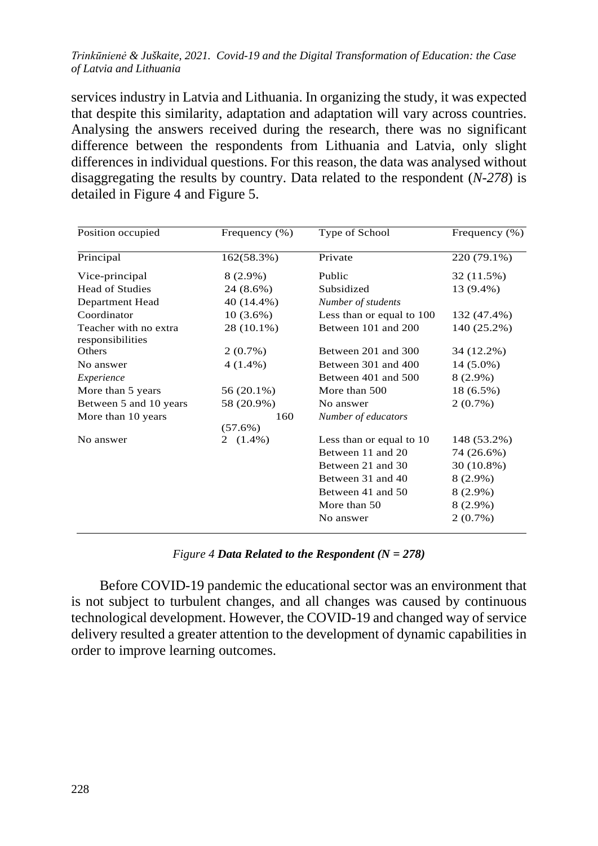services industry in Latvia and Lithuania. In organizing the study, it was expected that despite this similarity, adaptation and adaptation will vary across countries. Analysing the answers received during the research, there was no significant difference between the respondents from Lithuania and Latvia, only slight differences in individual questions. For this reason, the data was analysed without disaggregating the results by country. Data related to the respondent (*N-278*) is detailed in Figure 4 and Figure 5.

| Position occupied                         | Frequency $(\% )$ | Type of School            | Frequency (%) |  |
|-------------------------------------------|-------------------|---------------------------|---------------|--|
| Principal<br>162(58.3%)                   |                   | Private                   | 220 (79.1%)   |  |
| Vice-principal                            | 8 (2.9%)          | Public                    | 32 (11.5%)    |  |
| <b>Head of Studies</b>                    | 24 (8.6%)         | Subsidized                | 13 (9.4%)     |  |
| Department Head                           | 40 (14.4%)        | Number of students        |               |  |
| Coordinator                               | $10(3.6\%)$       | Less than or equal to 100 | 132 (47.4%)   |  |
| Teacher with no extra<br>responsibilities | 28 (10.1%)        | Between 101 and 200       | 140 (25.2%)   |  |
| <b>Others</b>                             | $2(0.7\%)$        | Between 201 and 300       | 34 (12.2%)    |  |
| No answer                                 | $4(1.4\%)$        | Between 301 and 400       | 14 (5.0%)     |  |
| Experience                                |                   | Between 401 and 500       | $8(2.9\%)$    |  |
| More than 5 years                         | 56 (20.1%)        | More than 500             | 18 (6.5%)     |  |
| Between 5 and 10 years                    | 58 (20.9%)        | No answer                 | $2(0.7\%)$    |  |
| More than 10 years                        | 160<br>$(57.6\%)$ | Number of educators       |               |  |
| No answer                                 | $(1.4\%)$<br>2    | Less than or equal to 10  | 148 (53.2%)   |  |
|                                           |                   | Between 11 and 20         | 74 (26.6%)    |  |
|                                           |                   | Between 21 and 30         | 30 (10.8%)    |  |
|                                           |                   | Between 31 and 40         | $8(2.9\%)$    |  |
|                                           |                   | Between 41 and 50         | $8(2.9\%)$    |  |
|                                           |                   | More than 50              | $8(2.9\%)$    |  |
|                                           |                   | No answer                 | 2(0.7%)       |  |

## *Figure 4 Data Related to the Respondent (N = 278)*

Before COVID-19 pandemic the educational sector was an environment that is not subject to turbulent changes, and all changes was caused by continuous technological development. However, the COVID-19 and changed way of service delivery resulted a greater attention to the development of dynamic capabilities in order to improve learning outcomes.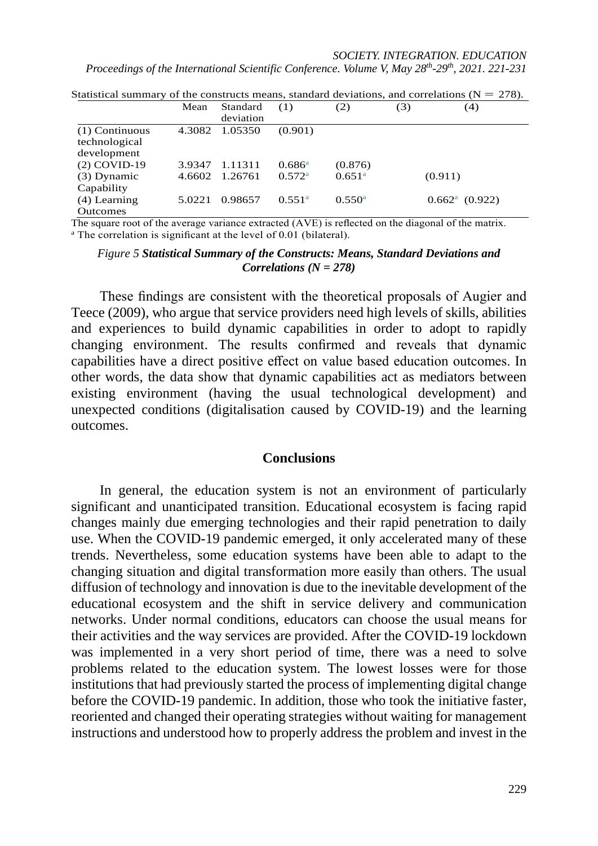## *SOCIETY. INTEGRATION. EDUCATION*

*Proceedings of the International Scientific Conference. Volume V, May 28th-29th, 2021. 221-231*

|                  | Mean   | Standard<br>deviation | (1)                | (2)                | (3) | (4)                            |
|------------------|--------|-----------------------|--------------------|--------------------|-----|--------------------------------|
| $(1)$ Continuous | 4.3082 | 1.05350               | (0.901)            |                    |     |                                |
| technological    |        |                       |                    |                    |     |                                |
| development      |        |                       |                    |                    |     |                                |
| $(2)$ COVID-19   | 3.9347 | 1.11311               | $0.686^{\rm a}$    | (0.876)            |     |                                |
| $(3)$ Dynamic    | 4.6602 | 1.26761               | $0.572^{\rm a}$    | 0.651 <sup>a</sup> |     | (0.911)                        |
| Capability       |        |                       |                    |                    |     |                                |
| $(4)$ Learning   | 5.0221 | 0.98657               | 0.551 <sup>a</sup> | $0.550^{\rm a}$    |     | $0.662$ <sup>a</sup> $(0.922)$ |
| <b>Outcomes</b>  |        |                       |                    |                    |     |                                |

Statistical summary of the constructs means, standard deviations, and correlations ( $N = 278$ ).

<span id="page-8-0"></span>The square root of the average variance extracted (AVE) is reflected on the diagonal of the matrix. <br>a The correlation is significant at the level of 0.01 (bilateral).

#### *Figure 5 Statistical Summary of the Constructs: Means, Standard Deviations and Correlations (N = 278)*

These findings are consistent with the theoretical proposals of Augier and Teece (2009), who argue that service providers need high levels of skills, abilities and experiences to build dynamic capabilities in order to adopt to rapidly changing environment. The results confirmed and reveals that dynamic capabilities have a direct positive effect on value based education outcomes. In other words, the data show that dynamic capabilities act as mediators between existing environment (having the usual technological development) and unexpected conditions (digitalisation caused by COVID-19) and the learning outcomes.

#### **Conclusions**

In general, the education system is not an environment of particularly significant and unanticipated transition. Educational ecosystem is facing rapid changes mainly due emerging technologies and their rapid penetration to daily use. When the COVID-19 pandemic emerged, it only accelerated many of these trends. Nevertheless, some education systems have been able to adapt to the changing situation and digital transformation more easily than others. The usual diffusion of technology and innovation is due to the inevitable development of the educational ecosystem and the shift in service delivery and communication networks. Under normal conditions, educators can choose the usual means for their activities and the way services are provided. After the COVID-19 lockdown was implemented in a very short period of time, there was a need to solve problems related to the education system. The lowest losses were for those institutions that had previously started the process of implementing digital change before the COVID-19 pandemic. In addition, those who took the initiative faster, reoriented and changed their operating strategies without waiting for management instructions and understood how to properly address the problem and invest in the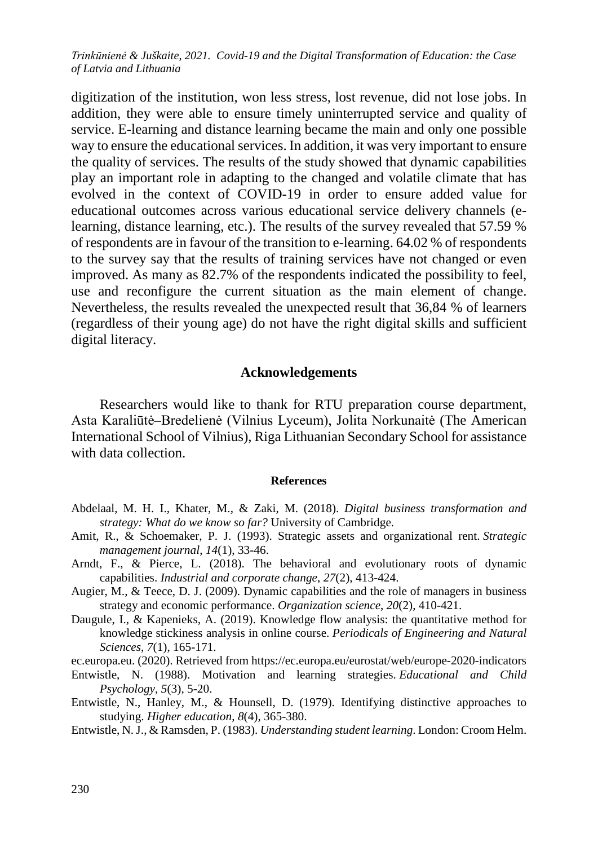digitization of the institution, won less stress, lost revenue, did not lose jobs. In addition, they were able to ensure timely uninterrupted service and quality of service. E-learning and distance learning became the main and only one possible way to ensure the educational services. In addition, it was very important to ensure the quality of services. The results of the study showed that dynamic capabilities play an important role in adapting to the changed and volatile climate that has evolved in the context of COVID-19 in order to ensure added value for educational outcomes across various educational service delivery channels (elearning, distance learning, etc.). The results of the survey revealed that 57.59 % of respondents are in favour of the transition to e-learning. 64.02 % of respondents to the survey say that the results of training services have not changed or even improved. As many as 82.7% of the respondents indicated the possibility to feel, use and reconfigure the current situation as the main element of change. Nevertheless, the results revealed the unexpected result that 36,84 % of learners (regardless of their young age) do not have the right digital skills and sufficient digital literacy.

## **Acknowledgements**

Researchers would like to thank for RTU preparation course department, Asta Karaliūtė–Bredelienė (Vilnius Lyceum), Jolita Norkunaitė (The American International School of Vilnius), Riga Lithuanian Secondary School for assistance with data collection.

#### **References**

- Abdelaal, M. H. I., Khater, M., & Zaki, M. (2018). *Digital business transformation and strategy: What do we know so far?* University of Cambridge.
- Amit, R., & Schoemaker, P. J. (1993). Strategic assets and organizational rent. *Strategic management journal*, *14*(1), 33-46.
- Arndt, F., & Pierce, L. (2018). The behavioral and evolutionary roots of dynamic capabilities. *Industrial and corporate change*, *27*(2), 413-424.
- Augier, M., & Teece, D. J. (2009). Dynamic capabilities and the role of managers in business strategy and economic performance. *Organization science*, *20*(2), 410-421.
- Daugule, I., & Kapenieks, A. (2019). Knowledge flow analysis: the quantitative method for knowledge stickiness analysis in online course. *Periodicals of Engineering and Natural Sciences*, *7*(1), 165-171.

ec.europa.eu. (2020). Retrieved from<https://ec.europa.eu/eurostat/web/europe-2020-indicators>

- Entwistle, N. (1988). Motivation and learning strategies. *Educational and Child Psychology*, *5*(3), 5-20.
- Entwistle, N., Hanley, M., & Hounsell, D. (1979). Identifying distinctive approaches to studying. *Higher education*, *8*(4), 365-380.
- Entwistle, N. J., & Ramsden, P. (1983). *Understanding student learning*. London: Croom Helm.